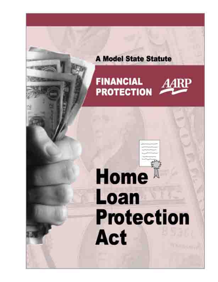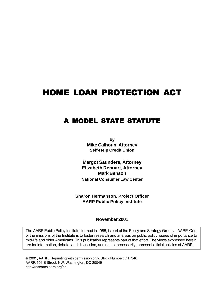## **HOME LOAN PROTECTION ACT**

## **A MODEL STATE STATUTE**

**by Mike Calhoun, Attorney Self-Help Credit Union**

**Margot Saunders, Attorney Elizabeth Renuart, Attorney Mark Benson National Consumer Law Center**

**Sharon Hermanson, Project Officer AARP Public Policy Institute**

**November 2001**

The AARP Public Policy Institute, formed in 1985, is part of the Policy and Strategy Group at AARP. One of the missions of the Institute is to foster research and analysis on public policy issues of importance to mid-life and older Americans. This publication represents part of that effort. The views expressed herein are for information, debate, and discussion, and do not necessarily represent official policies of AARP.

© 2001, AARP. Reprinting with permission only. Stock Number: D17346 AARP, 601 E Street, NW, Washington, DC 20049 http://research.aarp.org/ppi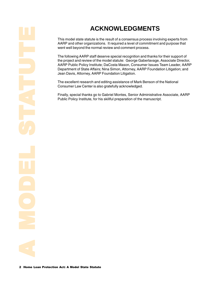## **ACKNOWLEDGMENTS**

This model state statute is the result of a consensus process involving experts from AARP and other organizations. It required a level of commitment and purpose that went well beyond the normal review and comment process.

The following AARP staff deserve special recognition and thanks for their support of the project and review of the model statute: George Gaberlavage, Associate Director, AARP Public Policy Institute; DaCosta Mason, Consumer Issues Team Leader, AARP Department of State Affairs; Nina Simon, Attorney, AARP Foundation Litigation; and Jean Davis, Attorney, AARP Foundation Litigation.

The excellent research and editing assistance of Mark Benson of the National Consumer Law Center is also gratefully acknowledged.

Finally, special thanks go to Gabriel Montes, Senior Administrative Associate, AARP Public Policy Institute, for his skillful preparation of the manuscript.

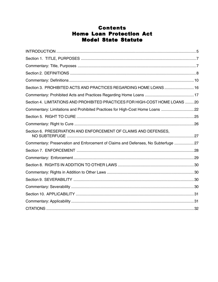## **Contents Home Loan Protection Act Model State Statute**

| Section 3. PROHIBITED ACTS AND PRACTICES REGARDING HOME LOANS  16                 |  |
|-----------------------------------------------------------------------------------|--|
|                                                                                   |  |
| Section 4. LIMITATIONS AND PROHIBITED PRACTICES FOR HIGH-COST HOME LOANS 20       |  |
| Commentary: Limitations and Prohibited Practices for High-Cost Home Loans 22      |  |
|                                                                                   |  |
|                                                                                   |  |
| Section 6. PRESERVATION AND ENFORCEMENT OF CLAIMS AND DEFENSES,                   |  |
| Commentary: Preservation and Enforcement of Claims and Defenses, No Subterfuge 27 |  |
|                                                                                   |  |
|                                                                                   |  |
|                                                                                   |  |
|                                                                                   |  |
|                                                                                   |  |
|                                                                                   |  |
|                                                                                   |  |
|                                                                                   |  |
|                                                                                   |  |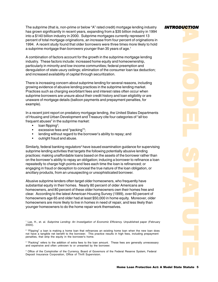<span id="page-4-0"></span>The subprime (that is, non-prime or below "A" rated credit) mortgage lending industry has grown significantly in recent years, expanding from a \$35 billion industry in 1994 into a \$140 billion industry in 2000. Subprime mortgages currently represent 13 percent of total mortgage originations, an increase from four percent of originations in 1994. A recent study found that older borrowers were three times more likely to hold a subprime mortgage than borrowers younger than 35 years of age.<sup>1</sup>

A combination of factors account for the growth in the subprime mortgage lending industry. These factors include: increased home equity and homeownership, particularly in minority and low-income communities; federal preemption and deregulation of state usury ceilings; elimination of the consumer loan tax deduction; and increased availability of capital through securitization.

There is increasing concern about subprime lending for several reasons, including growing evidence of abusive lending practices in the subprime lending market. Practices such as charging exorbitant fees and interest rates often occur when subprime borrowers are unsure about their credit history and loan eligibility or are unaware of mortgage details (balloon payments and prepayment penalties, for example).

In a recent joint report on predatory mortgage lending, the United States Departments of Housing and Urban Development and Treasury cite four categories of "all too frequent abuses" in the subprime market:

- loan flipping<sup>2</sup>;
- excessive fees and "packing"<sup>3</sup>;
- lending without regard to the borrower's ability to repay; and
- outright fraud and abuse.

Similarly, federal banking regulators<sup>4</sup> have issued examination guidance for supervising subprime lending activities that targets the following potentially abusive lending practices: making unaffordable loans based on the assets of the borrower rather than on the borrower's ability to repay an obligation; inducing a borrower to refinance a loan repeatedly to charge high points and fees each time the loan is refinanced; or engaging in fraud or deception to conceal the true nature of the loan obligation, or ancillary products, from an unsuspecting or unsophisticated borrower.

Abusive subprime lenders often target older homeowners, who frequently have substantial equity in their homes. Nearly 80 percent of older Americans are homeowners, and 80 percent of these older homeowners own their homes free and clear. According to the latest American Housing Survey (1999), over 60 percent of homeowners age 65 and older had at least \$50,000 in home equity. Moreover, older homeowners are more likely to live in homes in need of repair, and less likely than younger homeowners to do the home repair work themselves.

<sup>1</sup> Lax, H., et. al. *Subprime Lending: An Investigation of Economic Efficiency.* Unpublished paper (February 2000).

<sup>2</sup> "Flipping" a loan is making a home loan that refinances an existing home loan when the new loan does not have a tangible net benefit to the borrower. This practice results in high fees, including prepayment penalties, that strip the equity in the borrower's home.

<sup>3</sup> "Packing" refers to the addition of extra fees to the loan amount. These fees are generally unnecessary and expensive and often unknown to or unwanted by the borrower.

4 Office of the Comptroller of the Currency, Board of Governors of the Federal Reserve System, Federal Deposit Insurance Corporation, Office of Thrift Supervision.

## *INTRODUCTION*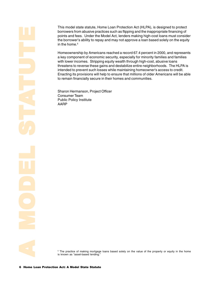This model state statute, Home Loan Protection Act (HLPA), is designed to protect borrowers from abusive practices such as flipping and the inappropriate financing of points and fees. Under the Model Act, lenders making high-cost loans must consider the borrower's ability to repay and may not approve a loan based solely on the equity in the home.<sup>5</sup>

Homeownership by Americans reached a record 67.4 percent in 2000, and represents a key component of economic security, especially for minority families and families with lower incomes. Stripping equity wealth through high-cost, abusive loans threatens to reverse these gains and destabilize entire neighborhoods. The HLPA is intended to prevent such losses while maintaining homeowner's access to credit. Enacting its provisions will help to ensure that millions of older Americans will be able to remain financially secure in their homes and communities.

Sharon Hermanson, Project Officer Consumer Team Public Policy Institute AARP

5 The practice of making mortgage loans based solely on the value of the property or equity in the home is known as "asset-based lending."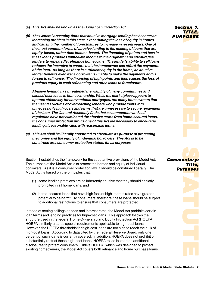- <span id="page-6-0"></span>**(a) This Act shall be known as the** Home Loan Protection Act**.**
- on Act.<br> **Secure the and the secure of the secure of the secure of the secure of the secure of the secure of the secure of the secure of the secure of the forme, an abusive the forme, an abusive the forme, an abusive the p (b) The General Assembly finds that abusive mortgage lending has become an increasing problem in this state, exacerbating the loss of equity in homes and causing the number of foreclosures to increase in recent years. One of the most common forms of abusive lending is the making of loans that are equity-based, rather than income-based. The financing of points and fees in these loans provides immediate income to the originator and encourages lenders to repeatedly refinance home loans. The lender's ability to sell loans reduces the incentive to ensure that the homeowner can afford the payments of the loan. As long as there is sufficient equity in the home, an abusive lender benefits even if the borrower is unable to make the payments and is forced to refinance. The financing of high points and fees causes the loss of precious equity in each refinancing and often leads to foreclosure.**

**Abusive lending has threatened the viability of many communities and caused decreases in homeownership. While the marketplace appears to operate effectively for conventional mortgages, too many homeowners find themselves victims of overreaching lenders who provide loans with unnecessarily high costs and terms that are unnecessary to secure repayment of the loan. The General Assembly finds that as competition and selfregulation have not eliminated the abusive terms from home-secured loans, the consumer protection provisions of this Act are necessary to encourage lending at reasonable rates with reasonable terms.**

**(c) This Act shall be liberally construed to effectuate its purpose of protecting the homes and the equity of individual borrowers. This Act is to be construed as a consumer protection statute for all purposes.**

Section 1 establishes the framework for the substantive provisions of the Model Act. The purpose of the Model Act is to protect the homes and equity of individual borrowers. As it is a consumer protection law, it should be construed liberally. The Model Act is based on the principles that:

- (1) some lending practices are so inherently abusive that they should be flatly prohibited in all home loans; and
- (2) home-secured loans that have high fees or high interest rates have greater potential to be harmful to consumers; therefore, these loans should be subject to additional restrictions to ensure that consumers are protected.

Instead of setting ceilings on fees and interest rates, the Model Act prohibits certain loan terms and lending practices for high-cost loans. This approach follows the structure used in the federal Home Ownership and Equity Protection Act (HOEPA). HOEPA similarly creates special requirements applicable to high-cost loans. However, the HOEPA thresholds for high-cost loans are too high to reach the bulk of high-cost loans. According to data cited by the Federal Reserve Board, only one percent of such loans is currently covered. In addition, HOEPA does not prohibit or substantially restrict these high-cost loans; HOEPA relies instead on additional disclosures to protect consumers. Unlike HOEPA, which was designed to protect existing homeowners, the Model Act covers both refinance and home purchase loans.

Sec<mark>tion</mark> 1. TITLE. **PURPOSES** 

tion 1.<br>TITLE,<br>POSES<br>Poses<br>Title,<br>The Sess<br>Poses tion 1.<br>TITLE,<br>POSES<br>Postary:<br>Title,<br>Theoses Comme<mark>ntary:</mark> Title,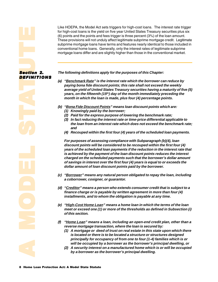Like HOEPA, the Model Act sets triggers for high-cost loans. The interest rate trigger for high-cost loans is the yield on five year United States Treasury securities plus six (6) points and the points and fees trigger is three percent (3%) of the loan amount. These provisions will not unduly affect legitimate subprime mortgage credit. Legitimate subprime mortgage loans have terms and features nearly identical to those included in conventional home loans. Generally, only the interest rates of legitimate subprime mortgage loans differ and are slightly higher than those in the conventional market.

**Section 2.** <u>DEFINITIONS</u>

**The following definitions apply for the purposes of this Chapter:**

- **(a) "Benchmark Rate" is the interest rate which the borrower can reduce by paying bona fide discount points; this rate shall not exceed the weekly average yield of United States Treasury securities having a maturity of five (5) years, on the fifteenth (15th) day of the month immediately preceding the month in which the loan is made, plus four (4) percentage points.**
- **(b) "Bona Fide Discount Points" means loan discount points which are: (1) Knowingly paid by the borrower;**
	- **(2) Paid for the express purpose of lowering the benchmark rate;**
	- **(3) In fact reducing the interest rate or time-price differential applicable to the loan from an interest rate which does not exceed the benchmark rate; and**
	- **(4) Recouped within the first four (4) years of the scheduled loan payments.**

**For purposes of assessing compliance with Subparagraph (b)(4), loan discount points will be considered to be recouped within the first four (4) years of the scheduled loan payments if the reduction in the interest rate that is achieved by the payment of the loan discount points reduces the interest charged on the scheduled payments such that the borrower's dollar amount of savings in interest over the first four (4) years is equal to or exceeds the dollar amount of loan discount points paid by the borrower.**

- **(c) "Borrower" means any natural person obligated to repay the loan, including a coborrower, cosigner, or guarantor.**
- **(d) "Creditor" means a person who extends consumer credit that is subject to a finance charge or is payable by written agreement in more than four (4) installments, and to whom the obligation is payable at any time.**
- **(e) "High-Cost Home Loan" means a home loan in which the terms of the loan meet or exceed one (1) or more of the thresholds as defined in Subsection (i) of this section.**
- **(f) "Home Loan" means a loan, including an open-end credit plan, other than a reverse mortgage transaction, where the loan is secured by:**
	- **(1) A mortgage or deed of trust on real estate in this state upon which there is located or there is to be located a structure or structures designed principally for occupancy of from one to four (1-4) families which is or will be occupied by a borrower as the borrower's principal dwelling, or**
	- **(2) A security interest on a manufactured home which is or will be occupied by a borrower as the borrower's principal dwelling.**

<span id="page-7-0"></span>installments, and to w<br>
installments, and to w<br>
(e) "High-Cost Home Loa<br>
meet or exceed one (1<br>
of this section.<br>
(f) "Home Loan" means a<br>
reverse mortgage tran<br>
(1) A mortgage or dee<br>
is located or there<br>
principally for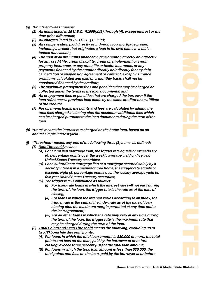- **(g) "Points and Fees" means:**
	- **(1) All items listed in 15 U.S.C. §1605(a)(1) through (4), except interest or the time-price differential;**
	- **(2) All charges listed in 15 U.S.C. §1605(e);**
	- **(3) All compensation paid directly or indirectly to a mortgage broker, including a broker that originates a loan in its own name in a tablefunded transaction;**
	- **(4) The cost of all premiums financed by the creditor, directly or indirectly for any credit life, credit disability, credit unemployment or credit property insurance, or any other life or health insurance, or any payments financed by the creditor directly or indirectly for any debt cancellation or suspension agreement or contract, except insurance premiums calculated and paid on a monthly basis shall not be considered financed by the creditor;**
	- **(5) The maximum prepayment fees and penalties that may be charged or collected under the terms of the loan documents; and**
	- **(6) All prepayment fees or penalties that are charged the borrower if the loan refinances a previous loan made by the same creditor or an affiliate of the creditor.**
	- **(7) For open-end loans, the points and fees are calculated by adding the total fees charged at closing plus the maximum additional fees which can be charged pursuant to the loan documents during the term of the loan.**
- **(h) "Rate" means the interest rate charged on the home loan, based on an annual simple interest yield.**
- **(i) "Threshold" means any one of the following three (3) items, as defined: (1) Rate Threshold means:**
	- **(A) For a first lien mortgage loan, the trigger rate equals or exceeds six (6) percentage points over the weekly average yield on five year United States Treasury securities;**
	- **(B) For a subordinate mortgage lien or a mortgage secured solely by a security interest in a manufactured home, the trigger rate equals or exceeds eight (8) percentage points over the weekly average yield on five year United States Treasury securities;**
	- **(C) The trigger rate is calculated as follows:**
		- **(i) For fixed-rate loans in which the interest rate will not vary during the term of the loan, the trigger rate is the rate as of the date of closing;**
		- **(ii) For loans in which the interest varies according to an index, the trigger rate is the sum of the index rate as of the date of loan closing plus the maximum margin permitted at any time under the loan agreement;**
		- **(iii) For all other loans in which the rate may vary at any time during the term of the loan, the trigger rate is the maximum rate that may be charged during the term of the loan.**
	- **(2) Total Points and Fees Threshold means the following, excluding up to two (2) bona fide discount points:**
		- **(A) For loans in which the total loan amount is \$30,000 or more, the total points and fees on the loan, paid by the borrower at or before closing, exceed three percent (3%) of the total loan amount;**
		- **(B) For loans in which the total loan amount is less than \$30,000, the total points and fees on the loan, paid by the borrower at or before**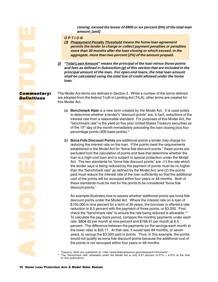**closing, exceed the lesser of \$900 or six percent (6%) of the total loan amount; [and]**

#### <span id="page-9-0"></span>**O P T I O N**

- **(3) Prepayment Penalty Threshold means the home loan agreement permits the lender to charge or collect payment penalties or penalties more than 30 months after the loan closing or which exceed, in the aggregate, more than two percent (2%) of the amount prepaid.**
- **(j) "Total Loan Amount" means the principal of the loan minus those points and fees as defined in Subsection (g) of this section that are included in the principal amount of the loan. For open-end loans, the total loan amount shall be calculated using the total line of credit allowed under the home loan.**

The Model Act terms are defined in Section 2. While a number of the terms defined are adopted from the federal Truth in Lending Act (TILA), other terms are created for this Model Act.

- (a) **Benchmark Rate** is a new term created by the Model Act. It is used solely to determine whether a lender's "discount points" are, in fact, reductions of the interest rate from a reasonable standard. For purposes of this Model Act, the "benchmark rate" is the yield on five year United States Treasury securities as of the 15<sup>th</sup> day of the month immediately preceding the loan closing plus four percentage points (400 basis points).\*
- (b) **Bona Fide Discount Points** are additional points a lender may charge for reducing the interest rate on the loan. If the points meet the requirements established in the Model Act for "bona fide discount points," these points are excluded from the calculation of points and fees that determine whether the loan is a high-cost loan and is subject to special protection under the Model Act. The two standards for "bona fide discount points" are: (1) the rate which the lender says is being reduced by the payment of points must be no higher than the "benchmark rate" as defined by the Model Act; and (2) the points paid must reduce the interest rate of the loan sufficiently so that the additional cost of the points will be recouped within four years or 48 months. Both of these standards must be met for the points to be considered "bona fide discount points."

An example illustrate<br>discount points unde<br>\$100,000 is nine per<br>reduction to 8.5 perc<br>check the "benchman<br>To calculate the pay-<br>rate: \$804.62 per mo<br>percent. The differer<br>the lower rate) is \$35<br>years, to recoup the<br>would n An example illustrates how to assess whether additional points are bona fide discount points under the Model Act. Where the interest rate on a loan of \$100,000 is nine percent for a term of 30 years, the borrower is offered a rate reduction to 8.5 percent with the payment of three points, or \$3,000. First, check the "benchmark rate" to ensure the rate being reduced is allowable.\*\* To calculate the pay-back period, compare the monthly payments under each rate: \$804.62 per month at nine percent and \$768.91 per month at 8.5 percent. The difference between the payments (or the savings each month at the lower rate) is \$35.71. At that rate, it would take 84 months, or seven years, to recoup the \$3,000 paid in points. Thus, in this example, the points would not qualify as bona fide discount points because the additional cost of the points is not recouped within four years or 48 months.

Treasury rates are published at <http://www.federalreserve.gov/releases/h15/current/>

The "benchmark rate" allowable under the Model Act is only 8.57 percent  $(4.57% + 4.0%)$  at the time of this publication.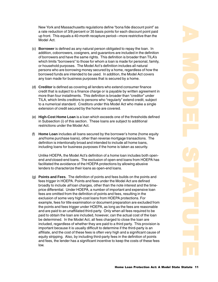New York and Massachusetts regulations define "bona fide discount point" as a rate reduction of 3/8 percent or 35 basis points for each discount point paid up front. This equals a 40-month recapture period—more restrictive than the Model Act.

- (c) **Borrower** is defined as any natural person obligated to repay the loan. In addition, coborrowers, cosigners, and guarantors are included in the definition of borrowers and have the same rights. This definition is broader than TILA's which limits "borrowers" to those for whom a loan is made for personal, family, or household purposes. The Model Act's definition includes all natural persons who are borrowing money secured by a home, regardless of how the borrowed funds are intended to be used. In addition, the Model Act covers any loan made for business purposes that is secured by a home.
- (d) **Creditor** is defined as covering all lenders who extend consumer finance credit that is subject to a finance charge or is payable by written agreement in more than four installments. This definition is broader than "creditor" under TILA, which limits creditors to persons who "regularly" extend credit, subject to a numerical standard. Creditors under this Model Act who make a single extension of credit secured by the home are covered.
- (e) **High-Cost Home Loan** is a loan which exceeds one of the thresholds defined in Subsection (i) of this section. These loans are subject to additional restrictions under the Model Act.
- (f) **Home Loan** includes all loans secured by the borrower's home (home equity and home purchase loans), other than reverse mortgage transactions. The definition is intentionally broad and intended to include all home loans, including loans for business purposes if the home is taken as security.

Unlike HOEPA, the Model Act's definition of a home loan includes both openend *and* closed-end loans. The exclusion of open-end loans from HOEPA has facilitated the avoidance of the HOEPA protections by allowing abusive lenders to characterize their loans as open-end loans.

(g) **Points and Fees**. The definition of points and fees builds on the points and fees trigger in HOEPA. Points and fees under the Model Act are defined broadly to include all loan charges, other than the note interest and the timeprice differential. Under HOEPA, a number of important and expensive loan fees are omitted from the definition of points and fees, resulting in the exclusion of some very high-cost loans from HOEPA protections. For example, fees for title examination or document preparation are excluded from the points and fees trigger under HOEPA, as long as the fees are reasonable and are paid to an unaffiliated third-party. Only when all fees required to be paid to obtain the loan are included, however, can the actual cost of the loan be determined. In the Model Act, all fees charged to close the loan are included, regardless of whether they are paid to a third party. This provision is important because it is usually difficult to determine if the third-party is an affiliate, and the cost of these fees is often very high and a significant cause of equity stripping. Also, by including third-party fees in the definition of points and fees, the lender has a significant incentive to keep the costs of these fees low.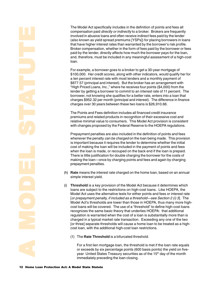The Model Act specifically includes in the definition of points and fees all compensation paid directly or indirectly to a broker. Brokers are frequently involved in abusive loans and often receive indirect fees paid by the lender (also known as yield spread premiums [YSPs]) for placing borrowers in loans that have higher interest rates than warranted by the borrower's risk profile. Broker compensation, whether in the form of fees paid by the borrower or fees paid by the lender, directly affects how much the borrower pays for the loan, and, therefore, must be included in any meaningful assessment of a high-cost loan.

For example, a borrower goes to a broker to get a 30-year mortgage of \$100,000. Her credit scores, along with other indicators, would qualify her for a ten percent interest rate with most lenders and a monthly payment of \$877.57 (principal and interest). But the broker has an arrangement with "High Priced Loans, Inc.," where he receives four points (\$4,000) from the lender by getting a borrower to commit to an interest rate of 11 percent. The borrower, not knowing she qualifies for a better rate, enters into a loan that charges \$952.32 per month (principal and interest). The difference in finance charges over 30 years between these two loans is \$26,910.66.

The Points and Fees definition includes all financed credit insurance premiums and related products in recognition of their excessive cost and relative minimal value to consumers. This Model Act provision is consistent with changes proposed by the Federal Reserve to the HOEPA regulations.

Prepayment penalties are also included in the definition of points and fees whenever the penalty can be charged on the loan being made. This provision is important because it requires the lender to determine whether the initial cost of making the loan will be included in the payment of points and fees when the loan is made, or recouped on the back end if the loan is prepaid. There is little justification for double charging the borrower for the costs of making the loan—once by charging points and fees and again by charging prepayment penalties.

- (h) **Rate** means the interest rate charged on the home loan, based on an annual simple interest yield.
- Model Act uses the a<br> *or prepayment pena*<br>
Model Act's thresholocost loans will be covered and will be covered and will be controlled and the same<br>
regulation is warrant charged in a typical r<br> *or three*] separate the<br>
c (i) **Threshold** is a key provision of the Model Act because it determines which loans are subject to the restrictions on high-cost loans. Like HOEPA, the Model Act uses the alternative tests for either points and fees or interest rate [or prepayment penalty, if included as a threshold—see Section 2 (i) 3]. The Model Act's thresholds are lower than those in HOEPA, thus many more highcost loans will be covered. The use of a "threshold" to define high-cost loans recognizes the same basic theory that underlies HOEPA: that additional regulation is warranted when the cost of a loan is substantially more than is charged in a typical market rate transaction. Exceeding any one of the two [or three] separate thresholds will cause a home loan to be treated as a highcost loan, with the additional high-cost loan restrictions.
	- (1) The **Rate Threshold** is a bifurcated threshold.

For a first lien mortgage loan, the threshold is met if the loan rate equals or exceeds by six percentage points (600 basis points) the yield on fiveyear United States Treasury securities as of the 15<sup>th</sup> day of the month immediately preceding the loan closing.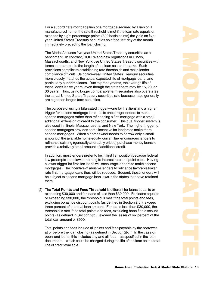For a subordinate mortgage lien or a mortgage secured by a lien on a manufactured home, the rate threshold is met if the loan rate equals or exceeds by eight percentage points (800 basis points) the yield on fiveyear United States Treasury securities as of the 15<sup>th</sup> day of the month immediately preceding the loan closing.

The Model Act uses five-year United States Treasury securities as a benchmark. In contrast, HOEPA and new regulations in Illinois, Massachusetts, and New York use United States Treasury securities with terms comparable to the length of the loan as benchmarks. Such provisions complicate establishing rate thresholds and make lender compliance difficult. Using five-year United States Treasury securities more closely matches the actual expected life of mortgage loans, and particularly subprime loans. Due to prepayments, the average life of these loans is five years, even though the stated term may be 15, 20, or 30 years. Thus, using longer comparable term securities also overstates the actual United States Treasury securities rate because rates generally are higher on longer-term securities.

The purpose of using a bifurcated trigger—one for first liens and a higher trigger for second mortgage liens—is to encourage lenders to make second mortgages rather than refinancing a first mortgage with a small additional extension of credit to the consumer. This dual trigger system is also used in Illinois, Massachusetts, and New York. The higher trigger for second mortgages provides some incentive for lenders to make more second mortgages. When a homeowner needs to borrow only a small amount of the available home equity, current law encourages lenders to refinance existing (generally affordably priced) purchase money loans to provide a relatively small amount of additional credit.

In addition, most lenders prefer to be in first lien position because federal law preempts state law pertaining to interest rate and point caps. Having a lower trigger for first lien loans will encourage lenders to make second mortgages. The incentive of abusive lenders to refinance favorable lower rate first mortgage loans thus will be reduced. Second, these lenders will be subject to second mortgage loan laws in the states that have retained them.

(2) The **Total Points and Fees Threshold** is different for loans equal to or exceeding \$30,000 and for loans of less than \$30,000. For loans equal to or exceeding \$30,000, the threshold is met if the total points and fees, excluding bona fide discount points (as defined in Section 2[b]), exceed three percent of the total loan amount. For loans less than \$30,000, the threshold is met if the total points and fees, excluding bona fide discount points (as defined in Section 2[b]), exceed the lesser of six percent of the total loan amount or \$900.

Total points and fees include all points and fees payable by the borrower at or before the loan closing (as defined in Section 2[g]). In the case of open-end loans, this includes any and all fees—as specified in the loan documents—which could be charged during the life of the loan on the total line of credit available.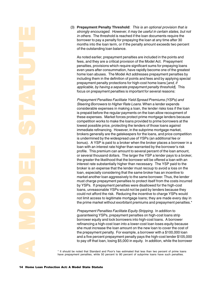(3) **Prepayment Penalty Threshold**: This is an optional provision that is strongly encouraged. However, it may be useful in certain states, but not in others. The threshold is reached if the loan documents require the borrower to pay a penalty for prepaying the loan at any time after 30 months into the loan term, or if the penalty amount exceeds two percent of the outstanding loan balance.

As noted earlier, prepayment penalties are included in the points and fees, and they are a critical provision of the Model Act. Prepayment penalties, provisions which require significant sums for prepaying loans even years after consummation, have rapidly become one of the greatest home loan abuses. The Model Act addresses prepayment penalties by including them in the definition of points and fees and by applying special prepayment penalty protections for high-cost home loans [and, if applicable, by having a separate prepayment penalty threshold]. This focus on prepayment penalties is important for several reasons:

Prepayment Penalties Facilitate Yield Spread Premiums (YSPs) and Steering Borrowers to Higher Rate Loans. When a lender expends considerable expenses in making a loan, the lender risks loss if the loan is prepaid before the regular payments on the loan allow recoupment of these expenses. Market forces protect prime mortgage lenders because competition works to make the loans provided to prime borrowers at the lowest possible price, protecting the lenders of those loans against immediate refinancing. However, in the subprime mortgage market, brokers generally are the gatekeepers for the loans, and price competition is undermined by the widespread use of YSPs (an additional fee or bonus). A YSP is paid to a broker when the broker places a borrower in a loan with an interest rate higher than warranted by the borrower's risk profile. This premium can amount to several percent of the loan amount, or several thousand dollars. The larger the YSP a lender pays to a broker, the greater the likelihood that the borrower will be offered a loan with an interest rate substantially higher than necessary. The YSP paid to the broker is an expense that the lender must recoup to avoid a loss on the loan, especially considering that the same broker has an incentive to market another loan aggressively to the same borrower. Thus, the lender must charge prepayment penalties to protect itself from the costs incurred by YSPs. If prepayment penalties were disallowed for the high-cost loans, unreasonable YSPs would not be paid by lenders because they could not afford the risk. Reducing the incentive to charge YSPs would not limit access to legitimate mortgage loans; they are made every day in the prime market without exorbitant premiums and prepayment penalties.\*

could not aftord the prime market<br>
the prime market<br> *Prepayment Perroguaranteeing YS*<br> *Prepayment Perroguaranteeing YS*<br>
borrower equity a<br>
refinancing a hig<br>
she must increas<br>
the prepayment that local<br>
that local<br>
<sup>2</sup> Prepayment Penalties Facilitate Equity Stripping. In addition to guaranteeing YSPs, prepayment penalties on high-cost loans strip borrower equity and lock borrowers into high-cost loans. A borrower refinancing a high-cost loan into a lower-cost loan loses equity because she must increase the loan amount on the new loan to cover the cost of the prepayment penalty. For example, a borrower with a \$100,000 loan and a five percent prepayment penalty pays the high-cost lender \$105,000 to pay off that loan, losing \$5,000 in equity. In addition, while the borrower

\* It should be noted that Standard and Poor's has estimated that less than two percent of prime loans have prepayment penalties, while 50 percent to 80 percent of subprime loans have such penalties.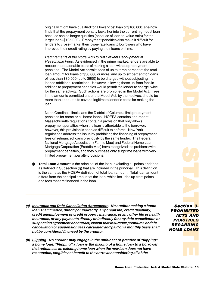<span id="page-14-0"></span>originally might have qualified for a lower-cost loan of \$100,000, she now finds that the prepayment penalty locks her into the current high-cost loan because she no longer qualifies (because of loan-to-value ratio) for the larger loan (\$105,000). Prepayment penalties also make it difficult for lenders to cross-market their lower-rate loans to borrowers who have improved their credit rating by paying their loans on time.

Requirements of the Model Act Do Not Prevent Recoupment of Reasonable Fees. As evidenced in the prime market, lenders are able to recoup the reasonable costs of making a loan without prepayment penalties. The Model Act permits fees of up to three percent of the total loan amount for loans of \$30,000 or more, and up to six percent for loans of less than \$30,000 (up to \$900) to be charged without subjecting the loan to additional restrictions. However, allowing these up-front fees in addition to prepayment penalties would permit the lender to charge twice for the same activity. Such actions are prohibited in the Model Act. Fees in the amounts permitted under the Model Act, by themselves, should be more than adequate to cover a legitimate lender's costs for making the loan.

North Carolina, Illinois, and the District of Columbia limit prepayment penalties for some or all home loans. HOEPA contains and recent Massachusetts regulations contain a provision that only allows prepayment penalties when the loan is affordable to the borrower; however, this provision is seen as difficult to enforce. New York regulations address the issue by prohibiting the financing of prepayment fees on refinanced loans previously by the same lender. The Federal National Mortgage Association (Fannie Mae) and Federal Home Loan Mortgage Corporation (Freddie Mac) have recognized the problems with prepayment penalties, and they purchase only subprime loans with very limited prepayment penalty provisions.

- (j) **Total Loan Amount** is the principal of the loan, excluding all points and fees as defined in Subsection (g) that are included in the principal. This definition is the same as the HOEPA definition of total loan amount. Total loan amount differs from the principal amount of the loan, which includes up-front points and fees that are financed in the loan.
- **(a) Insurance and Debt Cancellation Agreements. No creditor making a home loan shall finance, directly or indirectly, any credit life, credit disability, credit unemployment or credit property insurance, or any other life or health insurance, or any payments directly or indirectly for any debt cancellation or suspension agreement or contract, except that insurance premiums or debt cancellation or suspension fees calculated and paid on a monthly basis shall not be considered financed by the creditor.**
- **(b) Flipping. No creditor may engage in the unfair act or practice of "flipping" a home loan. "Flipping" a loan is the making of a home loan to a borrower that refinances an existing home loan when the new loan does not have reasonable, tangible net benefit to the borrower considering all of the**

Section 3. **PROHIBITED** ACTS AND **PRACTICES** *'&-' \$( &-* 

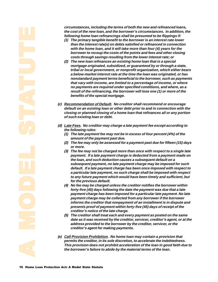**circumstances, including the terms of both the new and refinanced loans, the cost of the new loan, and the borrower's circumstances. In addition, the following home loan refinancings shall be presumed to be flippings if:**

- **(1) The primary tangible benefit to the borrower is an interest rate lower than the interest rate(s) on debts satisfied or refinanced in connection with the home loan, and it will take more than four (4) years for the borrower to recoup the costs of the points and fees and other closing costs through savings resulting from the lower interest rate; or**
- **(2) The new loan refinances an existing home loan that is a special mortgage originated, subsidized, or guaranteed by or through a state, tribal or local government, or nonprofit organization, which either bears a below-market interest rate at the time the loan was originated, or has nonstandard payment terms beneficial to the borrower, such as payments that vary with income, are limited to a percentage of income, or where no payments are required under specified conditions, and where, as a result of the refinancing, the borrower will lose one (1) or more of the benefits of the special mortgage.**
- **(c) Recommendation of Default. No creditor shall recommend or encourage default on an existing loan or other debt prior to and in connection with the closing or planned closing of a home loan that refinances all or any portion of such existing loan or debt.**
- **(d) Late Fees. No creditor may charge a late payment fee except according to the following rules:**
	- **(1) The late payment fee may not be in excess of four percent (4%) of the amount of the payment past due.**
	- **(2) The fee may only be assessed for a payment past due for fifteen (15) days or more.**
	- **(3) The fee may not be charged more than once with respect to a single late payment. If a late payment charge is deducted from a payment made on the loan, and such deduction causes a subsequent default on a subsequent payment, no late payment charge may be imposed for such default. If a late payment charge has been once imposed with respect to a particular late payment, no such charge shall be imposed with respect to any future payment which would have been timely and sufficient, but for the previous default.**
	- **(4) No fee may be charged unless the creditor notifies the borrower within forty-five (45) days following the date the payment was due that a late payment charge has been imposed for a particular late payment. No late payment charge may be collected from any borrower if the borrower informs the creditor that nonpayment of an installment is in dispute and presents proof of payment within forty-five (45) days of receipt of the creditor's notice of the late charge.**
	- **(5) The creditor shall treat each and every payment as posted on the same date as it was received by the creditor, servicer, creditor's agent, or at the address provided to the borrower by the creditor, servicer, or the creditor's agent for making payments.**
- **(e) Call Provision Prohibition. No home loan may contain a provision that permits the creditor, in its sole discretion, to accelerate the indebtedness. This provision does not prohibit acceleration of the loan in good faith due to the borrower's failure to abide by the material terms of the loan.**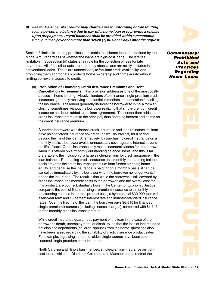<span id="page-16-0"></span>**(f) Fee for Balance. No creditor may charge a fee for informing or transmitting to any person the balance due to pay off a home loan or to provide a release upon prepayment. Payoff balances shall be provided within a reasonable time, but in any event no more than seven (7) business days after the request.**

Section 3 limits six lending practices applicable to all home loans (as defined by the Model Act), regardless of whether the loans are high-cost loans. The late fee limitation in Subsection (d) states a fair rule for the collection of fees for late payments. All of the other acts are inherently abusive and are rarely included in conventional loans. These are unnecessary to facilitate credit availability, and prohibiting them appropriately protects home ownership and home equity without limiting borrowers' access to credit.

(a) **Prohibition of Financing Credit Insurance Premiums and Debt Cancellation Agreements**. This provision addresses one of the most costly abuses in home lending. Abusive lenders often finance single-premium credit insurance, generally receiving substantial immediate compensation for selling the insurance. The lender generally induces the borrower to initial a form at closing, sometimes without the borrower realizing that single-premium credit insurance has been added to the loan agreement. The lender then adds the credit insurance premium to the principal, thus charging interest and points on the credit insurance premium.

**Example of transmitting**<br> **Conditional of the properties and the properties and the properties and the reasonable<br>
then a reasonable<br>
then a reasonable<br>
then a reasonable<br>
then a reason individual of <b>Commentary**<br> **Commen** Subprime borrowers who finance credit insurance and then refinance the loan have paid for credit insurance coverage (as well as interest) for a period beyond the life of the loan. Alternatively, by purchasing credit insurance on a monthly basis, a borrower avoids unnecessary coverage and interest beyond the life of loan. Credit insurance only makes economic sense for the borrower when it is offered on a "monthly outstanding balance" basis, and this is far preferable to the inclusion of a large single-premium for credit insurance in the loan balance. Purchasing credit insurance on a monthly outstanding balance basis prevents the credit insurance premium from further stripping home equity, and because the insurance is paid for on a monthly basis, it can be cancelled immediately by the borrower when the borrower no longer wants/ needs the insurance. The result is that while the borrower is still covered by credit insurance, the monthly costs to the borrower, and the overall cost for this product, are both substantially lower. The Center for Economic Justice compared the cost of financed, single-premium insurance to a monthly outstanding balance insurance product using a hypothetical \$30,000 loan with a ten-year term and 15 percent interest rate and industry-standard insurance rates. Over the lifetime of the loan, the borrower pays \$6,515 for financed, single-premium insurance (including finance charges), compared with \$1,747 for the monthly credit insurance product.

While credit insurance guarantees payment of the loan in the case of the borrower's death, unemployment, or disability, so that the loss of income does not displace dependents (children, spouse) from the home, questions also have been raised regarding the suitability of credit insurance product sales. For example, a growing number of older, single women have been sold financed single-premium credit insurance.

North Carolina and Illinois ban financed, single-premium insurance on highcost loans, while the District of Columbia and Massachusetts restrict the



Commentary: *)
\*
 +* **Acts and** Practices Reg<mark>arding</mark> *\$* 

**entary:**<br>hibited<br>arding<br>Loans<br>Loans **Putary:**<br> **hibited**<br> **ctices**<br> **Loans**<br> **Loans**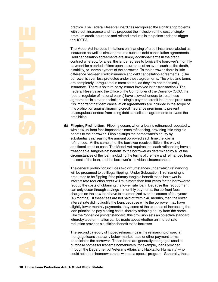practice. The Federal Reserve Board has recognized the significant problems with credit insurance and has proposed the inclusion of the cost of singlepremium credit insurance and related products in the points and fees trigger for HOEPA.

The Model Act includes limitations on financing of credit insurance labeled as insurance as well as similar products such as debt cancellation agreements. Debt cancellation agreements are simply additional terms in the credit contract whereby, for a fee, the lender agrees to forgive the borrower's monthly payment for a period of time upon occurrence of an event such as the death, disability, or unemployment of the borrower. To the borrower, there is little difference between credit insurance and debt cancellation agreements. (The borrower is even less protected under these agreements. The price and terms are completely unregulated in most states, as they are not technically insurance. There is no third-party insurer involved in the transaction.) The Federal Reserve and the Office of the Comptroller of the Currency (OCC, the federal regulator of national banks) have allowed lenders to treat these agreements in a manner similar to single-payment credit insurance premiums. It is important that debt cancellation agreements are included in the scope of this prohibition against financing credit insurance premiums to prevent unscrupulous lenders from using debt cancellation agreements to evade the prohibition.

(b) **Flipping Prohibition**. Flipping occurs when a loan is refinanced repeatedly, with new up-front fees imposed on each refinancing, providing little tangible benefit to the borrower. Flipping strips the homeowner's equity by substantially increasing the amount borrowed each time the loan is refinanced. At the same time, the borrower receives little in the way of additional credit or cash. The Model Act requires that each refinancing have a "reasonable, tangible net benefit" to the borrower as determined by all of the circumstances of the loan, including the terms of the new and refinanced loan, the cost of the loan, and the borrower's individual circumstances.

charged on the new I.<br>(48 months). If these<br>interest rate did not ju<br>slightly lower month!<br>loan principal to pay<br>Like the "bona fide po<br>whereby a determina<br>reduction provides a<br>The second category<br>mortgage loans that<br>the b The general prohibition includes two circumstances under which refinancing will be presumed to be illegal flipping. Under Subsection 1, refinancing is presumed to be flipping if the primary tangible benefit to the borrower is interest rate reduction and it will take more than four years for the borrower to recoup the costs of obtaining the lower rate loan. Because this recoupment can only occur through savings in monthly payments, the up-front fees charged on the new loan have to be amortized over the course of four years (48 months). If these fees are not paid off within 48 months, then the lower interest rate did not justify the loan, because while the borrower may have slightly lower monthly payments, they come at the expense of increasing the loan principal to pay closing costs, thereby stripping equity from the home. Like the "bona fide points" standard, this provision sets an objective standard whereby a determination can be made about whether an interest rate reduction provides a sufficient benefit to the borrower.

The second category of flipped refinancings is the refinancing of special mortgage loans that carry below-market rates or other payment terms beneficial to the borrower. These loans are generally mortgages used to purchase homes for first-time homebuyers (for example, loans provided through the Department of Veterans Affairs and Habitat for Humanity) who could not attain homeownership without a special program. Generally, these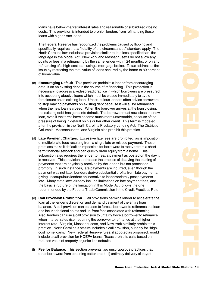loans have below-market interest rates and reasonable or subsidized closing costs. This provision is intended to prohibit lenders from refinancing these loans with higher-rate loans.

The Federal Reserve has recognized the problems caused by flipping and specifically requires that a "totality of the circumstances" standard apply. The North Carolina law includes a provision similar to, but less specific than, the language in the Model Act. New York and Massachusetts do not allow any points or fees in a refinancing by the same lender within 24 months, or on any refinancing of a high-cost loan using a mortgage broker. Texas addresses the issue by restricting the total value of loans secured by the home to 80 percent of home value.

- (c) **Encouraging Default**. This provision prohibits a lender from encouraging default on an existing debt in the course of refinancing. This protection is necessary to address a widespread practice in which borrowers are pressured into accepting abusive loans which must be closed immediately to avoid foreclosure on an existing loan. Unscrupulous lenders often advise borrowers to stop making payments on existing debt because it will all be refinanced when the new loan is closed. When the borrower arrives at the loan closing, the existing debt has gone into default. The borrower must now close the new loan, even if the terms have become much more unfavorable, because of the pressure of being in default on his or her other credit. This term is modeled after the provision in the North Carolina Predatory Lending Act. The District of Columbia, Massachusetts, and Virginia also prohibit this practice.
- (d) **Late Payment Charges**. Excessive late fees are prohibited, as is imposition of multiple late fees resulting from a single late or missed payment. These practices make it difficult or impossible for borrowers to recover from a shortterm financial setback and can quickly drain equity from a home. This subsection also requires the lender to treat a payment as posted on the day it is received. This provision addresses the practice of delaying the posting of payments that are physically received by the lender, but not processed promptly. In such instances, late payments are incurred, even though the payment was not late. Lenders derive substantial profits from late payments, giving unscrupulous lenders an incentive to inappropriately post payments late. Many state laws already include limitations on late payment fees, and the basic structure of the limitation in this Model Act follows the one recommended by the Federal Trade Commission in the Credit Practices Rule.
- (e) **Call Provision Prohibition**. Call provisions permit a lender to accelerate the loan at the lender's discretion and demand payment of the entire loan balance. A call provision can be used to force a borrower to refinance the loan and incur additional points and up-front fees associated with refinancing. Also, lenders can use a call provision to unfairly force a borrower to refinance when interest rates rise, requiring the borrower to refinance at the higher interest rate. Virginia, Massachusetts, and New York similarly prohibit this practice. North Carolina's statute includes a call provision, but only for "highcost home loans." New Federal Reserve rules, if adopted as proposed, would include a call provision for HOEPA loans. Texas prohibits calls based on reduced value of property or junior lien defaults.
- (f) **Fee for Balance**. This section prevents two unscrupulous practices that deter borrowers from obtaining better credit: 1) untimely delivery of payoff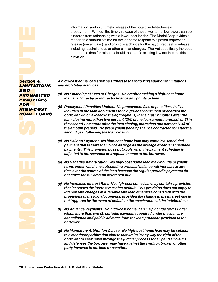information, and 2) untimely release of the note of indebtedness at prepayment. Without the timely release of these two items, borrowers can be hindered from refinancing with a lower-cost lender. The Model Act provides a reasonable amount of time for the lender to respond to a payoff request or release (seven days), and prohibits a charge for the payoff request or release, including facsimile fees or other similar charges. The Act specifically includes reasonable time for release should the state's existing law not include this provision.

<span id="page-19-0"></span> **Section**<br>Section<br>AND ROK<br>PROR HIGH-COR<br>HOME HOME HOME **Section 4.** <mark>LIMITATIONS</mark> *&-* **PROHIBITED PRACTICES** *!* **HIGH-COST** *\$( &-* 

**A high-cost home loan shall be subject to the following additional limitations and prohibited practices:**

- **(a) No Financing of Fees or Charges. No creditor making a high-cost home loan shall directly or indirectly finance any points or fees.**
- **(b) Prepayment Penalties Limited. No prepayment fees or penalties shall be included in the loan documents for a high-cost home loan or charged the borrower which exceed in the aggregate: 1) in the first 12 months after the loan closing more than two percent (2%) of the loan amount prepaid, or 2) in the second 12 months after the loan closing, more than one percent (1%) of the amount prepaid. No prepayment penalty shall be contracted for after the second year following the loan closing.**
- **(c) No Balloon Payment. No high-cost home loan may contain a scheduled payment that is more than twice as large as the average of earlier scheduled payments. This provision does not apply when the payment schedule is adjusted to the seasonal or irregular income of the borrower.**
- **(d) No Negative Amortization. No high-cost home loan may include payment terms under which the outstanding principal balance will increase at any time over the course of the loan because the regular periodic payments do not cover the full amount of interest due.**
- **(e) No Increased Interest Rate. No high-cost home loan may contain a provision that increases the interest rate after default. This provision does not apply to interest rate changes in a variable rate loan otherwise consistent with the provisions of the loan documents, provided the change in the interest rate is not triggered by the event of default or the acceleration of the indebtedness.**
- **(f) No Advance Payments. No high-cost home loan may include terms under which more than two (2) periodic payments required under the loan are consolidated and paid in advance from the loan proceeds provided to the borrower.**
- **Exercise Start Start Start Start Start Start Start Start Start Start Start Start Start Start Start Start Start Start Start Start Start Start Start Start Start Start Start Start Start Start Start Start Start Start Start St (g) No Mandatory Arbitration Clause. No high-cost home loan may be subject to a mandatory arbitration clause that limits in any way the right of the borrower to seek relief through the judicial process for any and all claims and defenses the borrower may have against the creditor, broker, or other party involved in the loan transaction.**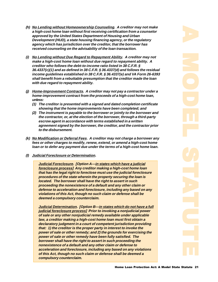- **(h) No Lending without Homeownership Counseling. A creditor may not make a high-cost home loan without first receiving certification from a counselor approved by the United States Department of Housing and Urban Development (HUD), a state housing financing agency, or the regulatory agency which has jurisdiction over the creditor, that the borrower has received counseling on the advisability of the loan transaction.**
- **(i) No Lending without Due Regard to Repayment Ability. A creditor may not make a high-cost home loan without due regard to repayment ability. A creditor who follows the debt-to-income ratio listed in 38 C.F.R. § 36.4337(c)(1) and as defined in 38 C.F.R. § 36.4337(d) and follows the residual income guidelines established in 38 C.F.R. § 36.4337(e) and VA Form 26-6393 shall benefit from a rebuttable presumption that the creditor made the loan with due regard to repayment ability.**
- **(j) Home-Improvement Contracts. A creditor may not pay a contractor under a home-improvement contract from the proceeds of a high-cost home loan, unless:**
	- **(1) The creditor is presented with a signed and dated completion certificate showing that the home improvements have been completed; and**
	- **(2) The instrument is payable to the borrower or jointly to the borrower and the contractor, or, at the election of the borrower, through a third-party escrow agent in accordance with terms established in a written agreement signed by the borrower, the creditor, and the contractor prior to the disbursement.**
- **(k) No Modification or Deferral Fees. A creditor may not charge a borrower any fees or other charges to modify, renew, extend, or amend a high-cost home loan or to defer any payment due under the terms of a high-cost home loan.**
- **(l) Judicial Foreclosure or Determination.**

**Judicial Foreclosure. [Option A—in states which have a judicial foreclosure process] Any creditor making a high-cost home loan that has the legal right to foreclose must use the judicial foreclosure procedures of the state wherein the property securing the loan is located. The borrower shall have the right to assert in such proceeding the nonexistence of a default and any other claim or defense to acceleration and foreclosure, including any based on any violations of this Act, though no such claim or defense shall be deemed a compulsory counterclaim.**

**Judicial Determination. [Option B—in states which do not have a full judicial foreclosure process] Prior to invoking a nonjudicial power of sale or any other nonjudicial remedy available under applicable law, a creditor making a high-cost home loan must first obtain a declaratory judgment in a court of competent jurisdiction providing that: 1) the creditor is the proper party in interest to invoke the power of sale or other remedy; and 2) the grounds for exercising the power of sale or other remedy have been fully satisfied. The borrower shall have the right to assert in such proceeding the nonexistence of a default and any other claim or defense to acceleration and foreclosure, including any based on any violations of this Act, though no such claim or defense shall be deemed a compulsory counterclaim.**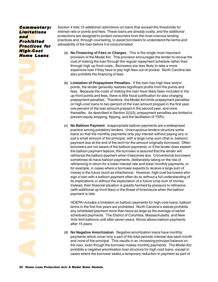# <span id="page-21-0"></span>*Commitate*<br>and Practice<br>Practice<br>High-C<br>Home Commentary: *Limitations +* <mark>Prohib</mark>ited</mark> <u>Practices</u> for High-Cost *\$*

Section 4 lists 12 additional restrictions on loans that exceed the thresholds for interest rate or points and fees. These loans are already costly, and the additional protections are designed to protect consumers from the most onerous lending practices and, through counseling, to assist borrowers to understand the terms and advisability of the loan before it is consummated.

- (a) **No Financing of Fees or Charges**. This is the single most important provision of the Model Act. This provision encourages the lender to recoup the cost of making the loan through the regular repayment schedule rather than through high up-front costs. Borrowers are less likely to take a more expensive loan if they have to pay high fees out-of-pocket. North Carolina law also prohibits the financing of fees.
- (b) **Limitation of Prepayment Penalties**. If the loan has high fees and/or points, the lender generally realizes significant profits from the points and fees. Because the costs of making the loan have likely been included in the up-front points and fees, there is little fiscal justification for also charging prepayment penalties. Therefore, the Model Act limits prepayment penalties on high-cost loans to two percent of the loan amount prepaid in the first year, one percent of the loan amount prepaid in the second year, and none thereafter. As described in Section 2(i)(3), prepayment penalties are limited to prevent equity stripping, flipping, and the facilitation of YSPs.
- (c) **No Balloon Payment**. Inappropriate balloon payments are a widespread practice among predatory lenders. Unscrupulous lenders structure some loans so that the monthly payments only pay interest without paying any or just a small amount of the principal, with a large lump-sum (that is, balloon) payment due at the end of the term for the amount originally borrowed. Often borrowers are not aware of the balloon payments, or if the lender does explain the balloon payment feature, the borrower is assured that the lender will refinance the balloon payment when it becomes due. Conventional borrowers sometimes do have balloon payments, deliberately taking on the risk of refinancing in return for a lower interest rate and lower monthly payments, or for example, in cases where a borrower expects to receive a large sum of money in the future (such as inheritance). However, high-cost borrowers who sign a loan with a balloon payment often do so without a full understanding of its implications or without the expectation of a future lump sum of money. Instead, their financial situation is greatly harmed by pressure to refinance (with additional up-front fees) or the threat of foreclosure when the balloon payment is late.

HOEPA includes a limitation on balloon payments for high-cost loans; balloon terms in the first five years are prohibited. North Carolina's statute prohibits any scheduled payment more than twice as large as the average of earlier scheduled payments. The District of Columbia, Massachusetts, and New York limit balloons until after seven years; Illinois allows balloon payments after 15 years.

payment is late.<br>
HOEPA includes a line terms in the first five any scheduled payments<br>
scheduled payments<br>
York limit balloons ur<br>
after 15 years.<br>
(d) **No Negative Amortical payments which coverad none of the princ<br>
the** (d) **No Negative Amortization**. Negative amortization loans have monthly payments which cover only a part of the total periodic interest due each month and none of the principal. This results in an increasing principal balance on the loan, even though the borrower makes monthly payments. The Model Act prohibits a negative amortization loan structure for high-cost loans, except in cases where the borrower seeks a temporary reduction in payment as part of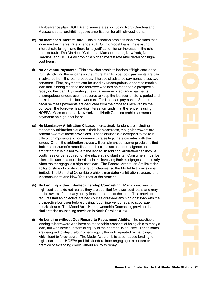a forbearance plan. HOEPA and some states, including North Carolina and Massachusetts, prohibit negative amortization for all high-cost loans.

- (e) **No Increased Interest Rate**. This subsection prohibits loan provisions that increase the interest rate after default. On high-cost loans, the existing interest rate is high, and there is no justification for an increase in the rate upon default. The District of Columbia, Massachusetts, New York, North Carolina, and HOEPA all prohibit a higher interest rate after default on highcost loans.
- (f) **No Advance Payments**. This provision prohibits lenders of high-cost loans from structuring these loans so that more than two periodic payments are paid in advance from the loan proceeds. The use of advance payments raises two concerns. First, payments can be used by unscrupulous lenders to mask a loan that is being made to the borrower who has no reasonable prospect of repaying the loan. By creating this initial reserve of advance payments, unscrupulous lenders use the reserve to keep the loan current for a period and make it appear that the borrower can afford the loan payments. Second, because these payments are deducted from the proceeds received by the borrower, the borrower is paying interest on funds that the lender is using. HOEPA, Massachusetts, New York, and North Carolina prohibit advance payments on high-cost loans.
- (g) **No Mandatory Arbitration Clause**. Increasingly, lenders are including mandatory arbitration clauses in their loan contracts, though borrowers are seldom aware of these provisions. These clauses are designed to make it difficult or impossible for consumers to raise legitimate disputes with the lender. Often, the arbitration clause will contain anticonsumer provisions that limit the consumer's remedies, prohibit class actions, or designate an arbitrator that is biased toward the lender. In addition, arbitration can involve costly fees or be required to take place at a distant site. Consumers must be allowed to use the courts to raise claims involving their mortgages, particularly when the mortgage is a high-cost loan. The Federal Arbitration Act limits the ability of states to prohibit arbitration clauses, so the Model Act provision is limited. The District of Columbia prohibits mandatory arbitration clauses, and Massachusetts and New York restrict the practice.
- (h) **No Lending without Homeownership Counseling**. Many borrowers of high-cost loans do not realize they are qualified for lower-cost loans and may not be aware of the many costly fees and terms of the loan. This provision requires that an objective, trained counselor review any high-cost loan with the prospective borrower before closing. Such interventions can discourage abusive loans. The Model Act's Homeownership Counseling provision is similar to the counseling provision in North Carolina's law.
- (i) **No Lending without Due Regard to Repayment Ability**. The practice of lending to borrowers who have no reasonable prospect of being able to repay a loan, but who have substantial equity in their homes, is abusive. These loans are designed to strip the borrower's equity through repeated refinancings, which lead to foreclosure. The Model Act prohibits asset-based lending for high-cost loans. HOEPA prohibits lenders from engaging in a pattern or practice of extending credit without ability to repay.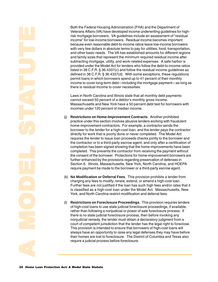Both the Federal Housing Administration (FHA) and the Department of Veterans Affairs (VA) have developed income underwriting guidelines for highrisk mortgage borrowers. VA guidelines include an assessment of "residual income" for low-income borrowers. Residual income becomes important because even reasonable debt-to-income ratios leave low-income borrowers with very few dollars in absolute terms to pay for utilities, food, transportation, and other basic needs. The VA has established amounts for different regions and family sizes that represent the minimum required residual income after subtracting mortgage, utility, and work-related expenses. A safe harbor is provided under the Model Act for lenders who follow the debt-to-income ratios listed in 38 C.F.R. § 36.4337(c) and follow the residual income guidelines as defined in 38 C.F.R. § 36.4337(d). With some exceptions, these regulations permit loans in which borrowers spend up to 41 percent of their monthly income to cover long-term debt—including the mortgage payment—as long as there is residual income to cover necessities.

Laws in North Carolina and Illinois state that all monthly debt payments cannot exceed 50 percent of a debtor's monthly gross income. Massachusetts and New York have a 50 percent debt test for borrowers with incomes under 120 percent of median income.

- (j) **Restrictions on Home-Improvement Contracts**. Another prohibited practice under this section involves abusive lenders working with fraudulent home-improvement contractors. For example, a contractor sends the borrower to the lender for a high-cost loan, and the lender pays the contractor directly for work that is poorly done or never completed. The Model Act requires the lender to issue loan proceeds checks jointly to the borrower and the contractor or to a third-party escrow agent, and only after a certification of completion has been signed showing that the home improvements have been completed. This prevents the contractor from receiving the payment without the consent of the borrower. Protections for home-improvement borrowers are further enhanced by the provisions regarding preservation of defenses in Section 6. Illinois, Massachusetts, New York, North Carolina, and HOEPA require payment be made to the borrower or a third-party escrow agent.
- (k) **No Modification or Deferral Fees**. This provision prohibits a lender from charging any fees to modify, renew, extend, or amend a high-cost loan. Further fees are not justified if the loan has such high fees and/or rates that it is classified as a high-cost loan under the Model Act. Massachusetts, New York, and North Carolina restrict modification and deferral fees.
- York, and North Caro<br>
(I) Restrictions on For-<br>
of high-cost loans to<br>
rather than following<br>
there is no state judic<br>
monjudicial remedy, t<br>
court of competent ju<br>
This provision is inter<br>
always have an oppo<br>
their homes (l) **Restrictions on Foreclosure Proceedings**. This provision requires lenders of high-cost loans to use state judicial foreclosure proceedings, if available, rather than following a nonjudicial or power of sale foreclosure process. If there is no state judicial foreclosure process, then before invoking any nonjudicial remedy, the lender must obtain a declaratory judgment from a court of competent jurisdiction that the lender has the legal right to foreclose. This provision is intended to ensure that borrowers of high-cost loans will always have an opportunity to raise any legal defenses they may have before their homes are lost to foreclosure. The District of Columbia and Texas also require a judicial process before foreclosure.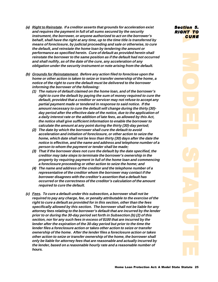- <span id="page-24-0"></span>**(a) Right to Reinstate. If a creditor asserts that grounds for acceleration exist and requires the payment in full of all sums secured by the security instrument, the borrower, or anyone authorized to act on the borrower's behalf, shall have the right at any time, up to the time title is transferred by means of foreclosure, by judicial proceeding and sale or otherwise, to cure the default, and reinstate the home loan by tendering the amount or performance as specified herein. Cure of default as provided herein shall reinstate the borrower to the same position as if the default had not occurred and shall nullify, as of the date of the cure, any acceleration of any obligation under the security instrument or note arising from the default.**
- **(b) Grounds for Reinstatement. Before any action filed to foreclose upon the home or other action is taken to seize or transfer ownership of the home, a notice of the right to cure the default must be delivered to the borrower informing the borrower of the following:**
	- **(1) The nature of default claimed on the home loan, and of the borrower's right to cure the default by paying the sum of money required to cure the default, provided that a creditor or servicer may not refuse to accept any partial payment made or tendered in response to said notice. If the amount necessary to cure the default will change during the thirty (30) day period after the effective date of the notice, due to the application of a daily interest rate or the addition of late fees, as allowed by this Act, the notice shall give sufficient information to enable the borrower to calculate the amount at any point during the thirty (30)-day period;**
	- **(2) The date by which the borrower shall cure the default to avoid acceleration and initiation of foreclosure, or other action to seize the home, which date shall not be less than thirty (30) days after the date the notice is effective, and the name and address and telephone number of a person to whom the payment or tender shall be made;**
	- **(3) That if the borrower does not cure the default by the date specified, the creditor may take steps to terminate the borrower's ownership in the property by requiring payment in full of the home loan and commencing a foreclosure proceeding or other action to seize the home; and**
	- **(4) The name and address of the creditor and the telephone number of a representative of the creditor whom the borrower may contact if the borrower disagrees with the creditor's assertion that a default has occurred or the correctness of the creditor's calculation of the amount required to cure the default.**
- **(c) Fees. To cure a default under this subsection, a borrower shall not be required to pay any charge, fee, or penalty attributable to the exercise of the right to cure a default as provided for in this section, other than the fees specifically allowed by this section. The borrower shall not be liable for any attorney fees relating to the borrower's default that are incurred by the lender prior to or during the 30-day period set forth in Subsection (b) (2) of this section, nor for any such fees in excess of \$100 that are incurred by the lender after the expiration of the 30-day period but prior to the time the lender files a foreclosure action or takes other action to seize or transfer ownership of the home. After the lender files a foreclosure action or takes other action to seize or transfer ownership of the home, the borrower shall only be liable for attorney fees that are reasonable and actually incurred by the lender, based on a reasonable hourly rate and a reasonable number of hours.**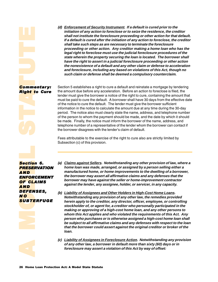<span id="page-25-0"></span>Section Reserved Number Contractor Section (Section ) **Community**<br> **Section**<br> **Section**<br> **Section**<br> **Section**<br> **SECTION**<br> **SECTION**<br> **SECTION** Commentary: Right to Cure **(d) Enforcement of Security Instrument. If a default is cured prior to the initiation of any action to foreclose or to seize the residence, the creditor shall not institute the foreclosure proceeding or other action for that default. If a default is cured after the initiation of any action to foreclose, the creditor shall take such steps as are necessary to terminate the foreclosure proceeding or other action. Any creditor making a home loan who has the legal right to foreclose must use the judicial foreclosure procedures of the state wherein the property securing the loan is located. The borrower shall have the right to assert in a judicial foreclosure proceeding or other action the nonexistence of a default and any other claim or defense to acceleration and foreclosure, including any based on violations of this Act, though no such claim or defense shall be deemed a compulsory counterclaim.**

Section 5 establishes a right to cure a default and reinstate a mortgage by tendering the amount due before any acceleration. Before an action to foreclose is filed, the lender must give the borrower a notice of the right to cure, containing the amount that must be paid to cure the default. A borrower shall have 30 days from the effective date of the notice to cure the default. The lender must give the borrower sufficient information in the notice to calculate the amount due at any time during the 30-day period. The notice also must clearly state the name, address, and telephone number of the person to whom the payment should be made, and the date by which it should be made. Finally, the notice must inform the borrower of the name, address, and telephone number of a representative of the lender whom the borrower can contact if the borrower disagrees with the lender's claim of default.

Fees attributable to the exercise of the right to cure also are strictly limited by Subsection (c) of this provision.

**AO**<br>SUBTE<br>-**NO<br>SUBTE Section 6. PRESERVATION** <u>AND</u> <u>ENFORCEMENT</u> **OF CLAIMS** *&- DEFENSES, -*  **SUBTERFUGE** 

- **(a) Claims against Sellers. Notwithstanding any other provision of law, where a home loan was made, arranged, or assigned by a person selling either a manufactured home, or home improvements to the dwelling of a borrower, the borrower may assert all affirmative claims and any defenses that the borrower may have against the seller or home-improvement contractor against the lender, any assignee, holder, or servicer, in any capacity.**
- **NO**<br> **SUBTERFUGE**<br> **EXELUGE**<br> **EXELUGE**<br> **EXELUGE**<br> **EXELUGE**<br> **EXELUGE**<br> **EXELUGE**<br> **EXELUGE**<br> **EXELUGE**<br> **EXELUGE**<br> **EXELUGE**<br> **EXELUGE**<br> **EXELUGE**<br> **EXELUGE**<br> **EXELUGE**<br> **EXELUGE**<br> **EXELUGE**<br> **EXELUGE**<br> **EXELUGEE:**<br> **E (b) Liability of Assignees and Other Holders in High-Cost Home Loans. Notwithstanding any provision of any other law, the remedies provided herein apply to the creditor, any director, officer, employee, or controlling stockholder of, or agent for, a creditor who personally participated in the making or approving of a high-cost home loan, and any other persons to whom this Act applies and who violated the requirements of this Act. Any person who purchases or is otherwise assigned a high-cost home loan shall be subject to all affirmative claims and any defenses with respect to the loan that the borrower could assert against the original creditor or broker of the loan.**
	- **(c) Liability of Assignees in Foreclosure Action. Notwithstanding any provision of any other law, a borrower in default more than sixty (60) days or in foreclosure may assert a violation of this Act by way of offset:**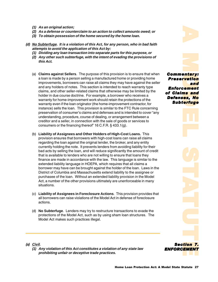- <span id="page-26-0"></span>**(1) As an original action;**
- **(2) As a defense or counterclaim to an action to collect amounts owed; or**
- **(3) To obtain possession of the home secured by the home loan.**
- **(d) No Subterfuge. It is a violation of this Act, for any person, who in bad faith attempts to avoid the application of this Act by:**
	- **(1) Dividing any loan transaction into separate parts for this purpose, or**
	- **(2) Any other such subterfuge, with the intent of evading the provisions of this Act.**
- **cliect amounts owed; or**<br> **Check the home loan.**<br> **Check the provision is to ensure that when<br>
<b>Commentary**<br> **Commentary**<br> **Commentary**<br> **Commentary**<br> **Commentary**<br> **Commentary**<br> **Commentary**<br> **Commentary**<br> **Commentary**<br> (a) **Claims against Sellers**. The purpose of this provision is to ensure that when a loan is made by a person selling a manufactured home or providing home improvements, borrowers can raise all claims they may have against the seller and any holders of notes. This section is intended to reach warranty type claims, and other seller-related claims that otherwise may be limited by the holder in due course doctrine. For example, a borrower who receives a warranty for home-improvement work should retain the protections of the warranty even if the loan originator (the home-improvement contractor, for instance) sells the loan. This provision is similar to the FTC Rule concerning preservation of consumer's claims and defenses and is intended to cover "any understanding, procedure, course of dealing, or arrangement between a creditor and a seller, in connection with the sale of goods or services to consumers or the financing thereof" 16 C.F.R. § 433.1(g).
	- (b) **Liability of Assignees and Other Holders of High-Cost Loans.** This provision ensures that borrowers with high-cost loans can raise all claims regarding the loan against the original lender, the broker, and any entity currently holding the note. It prevents lenders from avoiding liability for their bad acts by selling the loan, and will reduce significantly the amount of credit that is available to lenders who are not willing to ensure that loans they finance are made in accordance with the law. This language is similar to the extended liability language in HOEPA, which requires that all claims a borrower may have can be brought against the holder of the loan. Laws in the District of Columbia and Massachusetts extend liability to the assignee or purchasee of the loan. Without an extended liability provision in the Model Act, a number of the other provisions ultimately are unenforceable in many situations.
	- (c) **Liability of Assignees in Foreclosure Actions**. This provision provides that all borrowers can raise violations of the Model Act in defense of foreclosure actions.
	- (d) **No Subterfuge**. Lenders may try to restructure transactions to evade the protections of the Model Act, such as by using sham loan structures. The Model Act makes such practices illegal.

**Figure 12**<br> **entary:**<br> **rvation**<br> **ns and**<br> **ies, Notifuge Findam**<br> **entary:**<br> **entary:**<br> **entary:**<br> **entary:**<br> **entary:**<br> **entary:**<br> **entary:**<br> **entary:**<br> **entary:** Commentary: **Prese<mark>rvation</mark>** *+* Enforcement of Claims and Defens<mark>es, No</mark> Subt<mark>erfuge</mark>

ns and<br>ies, No<br>ierfuge<br>ition 7.<br>EMENT  *3* ENFORC<mark>EMENT</mark>

- **(a) Civil.**
	- **(1) Any violation of this Act constitutes a violation of any state law prohibiting unfair or deceptive trade practices.**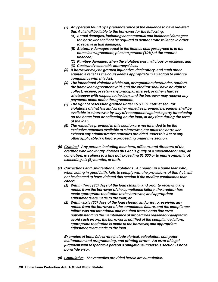- **(2) Any person found by a preponderance of the evidence to have violated this Act shall be liable to the borrower for the following:**
	- **(A) Actual damages, including consequential and incidental damages; the borrower shall not be required to demonstrate reliance in order to receive actual damages;**
	- **(B) Statutory damages equal to the finance charges agreed to in the home loan agreement, plus ten percent (10%) of the amount financed;**
	- **(C) Punitive damages, when the violation was malicious or reckless; and (D) Costs and reasonable attorneys' fees.**
- **(3) A borrower may be granted injunctive, declaratory, and such other equitable relief as the court deems appropriate in an action to enforce compliance with this Act.**
- **(4) The intentional violation of this Act, or regulation thereunder, renders the home loan agreement void, and the creditor shall have no right to collect, receive, or retain any principal, interest, or other charges whatsoever with respect to the loan, and the borrower may recover any payments made under the agreement.**
- **(5) The right of rescission granted under 15 U.S.C. 1601 et seq. for violations of that law and all other remedies provided hereunder shall be available to a borrower by way of recoupment against a party foreclosing on the home loan or collecting on the loan, at any time during the term of the loan.**
- **(6) The remedies provided in this section are not intended to be the exclusive remedies available to a borrower, nor must the borrower exhaust any administrative remedies provided under this Act or any other applicable law before proceeding under this section.**
- **(b) Criminal. Any person, including members, officers, and directors of the creditor, who knowingly violates this Act is guilty of a misdemeanor and, on conviction, is subject to a fine not exceeding \$1,000 or to imprisonment not exceeding six (6) months, or both.**
- **(c) Corrections and Unintentional Violations. A creditor in a home loan who, when acting in good faith, fails to comply with the provisions of this Act, will not be deemed to have violated this section if the creditor establishes that either:**
	- **(1) Within thirty (30) days of the loan closing, and prior to receiving any notice from the borrower of the compliance failure, the creditor has made appropriate restitution to the borrower, and appropriate adjustments are made to the loan; or**
- made appropriate reading the reading to the box and the box failure was not interesting the avoid such errors, the appropriate restitute adjustments are made appropriate restitute adjustments are made in the same of the sa **(2) Within sixty (60) days of the loan closing and prior to receiving any notice from the borrower of the compliance failure, and the compliance failure was not intentional and resulted from a bona fide error notwithstanding the maintenance of procedures reasonably adapted to avoid such errors, the borrower is notified of the compliance failure, appropriate restitution is made to the borrower, and appropriate adjustments are made to the loan.**

**Examples of bona fide errors include clerical, calculation, computer malfunction and programming, and printing errors. An error of legal judgment with respect to a person's obligations under this section is not a bona fide error.**

**(d) Cumulative. The remedies provided herein are cumulative.**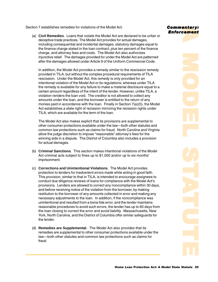<span id="page-28-0"></span>Section 7 establishes remedies for violations of the Model Act.

(a) **Civil Remedies**. Loans that violate the Model Act are declared to be unfair or deceptive trade practices. The Model Act provides for actual damages, including consequential and incidental damages, statutory damages equal to the finance charge stated in the loan contract, plus ten percent of the finance charge, and attorney fees and costs. The Model Act also authorizes injunctive relief. The damages provided for under the Model Act are patterned after the damages allowed under Article 9 of the Uniform Commercial Code.

In addition, the Model Act provides a remedy similar to the rescission remedy provided in TILA, but without the complex procedural requirements of TILA rescission. Under the Model Act, this remedy is only provided for an intentional violation of the Model Act or its regulations; whereas under TILA the remedy is available for any failure to make a material disclosure equal to a certain amount regardless of the intent of the lender. However, unlike TILA, a violation renders the loan void. The creditor is not allowed to collect any amounts under the loan, and the borrower is entitled to the return of any monies paid in accordance with the loan. Finally in Section 7(a)(5), the Model Act establishes a state right of recission mirroring the recission rights under TILA, which are available for the term of the loan.

The Model Act also makes explicit that its provisions are supplemental to other consumer protections available under the law—both other statutes and common law protections such as claims for fraud. North Carolina and Virginia allow the judge discretion to impose "reasonable" attorney's fees for the winning side in a dispute. The District of Columbia also includes a provision for actual damages.

- (b) **Criminal Sanctions**. This section makes intentional violations of the Model Act criminal acts subject to fines up to \$1,000 and/or up to six months' imprisonment.
- (c) **Corrections and Unintentional Violations**. The Model Act provides protection to lenders for inadvertent errors made while acting in good faith. This provision, similar to that in TILA, is intended to encourage assignees to conduct due diligence reviews of loans for compliance with the Model Act's provisions. Lenders are allowed to correct any noncompliance within 30 days, and before receiving notice of the violation from the borrower, by making restitution to the borrower of any amounts collected in error and making any necessary adjustments to the loan. In addition, if the noncompliance was unintentional and resulted from a bona fide error, and the lender maintains reasonable procedures to avoid such errors, the lender has up to 60 days from the loan closing to correct the error and avoid liability. Massachusetts, New York, North Carolina, and the District of Columbia offer similar safeguards for the lender.
- (d) **Remedies are Supplemental**. The Model Act also provides that its remedies are supplemental to other consumer protections available under the law—both other statutes and common law protections such as claims for fraud.

## Commentary: Enforcement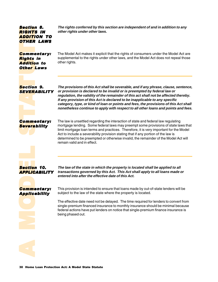## <span id="page-29-0"></span>**Section 8. RIGHTS IN** Addition to **OTHER LAWS**

**The rights conferred by this section are independent of and in addition to any other rights under other laws.**

section<br>RIGHT<br>ADDITIER<br>Communist<br>Communist<br>Section<br>Section<br>Section<br>Section<br>Section<br>Section<br>Section<br>Section<br>Section<br>Section Commentary: **Rights** in **Addition to** <mark>Other Laws</mark>

The Model Act makes it explicit that the rights of consumers under the Model Act are supplemental to the rights under other laws, and the Model Act does not repeal those other rights.

**Section 9.** *SEVERABILITY* 

**The provisions of this Act shall be severable, and if any phrase, clause, sentence, or provision is declared to be invalid or is preempted by federal law or regulation, the validity of the remainder of this act shall not be affected thereby. If any provision of this Act is declared to be inapplicable to any specific category, type, or kind of loan or points and fees, the provisions of this Act shall nonetheless continue to apply with respect to all other loans and points and fees.**

Commentary: *Severability* 

The law is unsettled regarding the interaction of state and federal law regulating mortgage lending. Some federal laws may preempt some provisions of state laws that limit mortgage loan terms and practices. Therefore, it is very important for the Model Act to include a severability provision stating that if any portion of the law is determined to be preempted or otherwise invalid, the remainder of the Model Act will remain valid and in effect.

Comme<br>Severa<br>Section<br>APPLIC<br>Comme Commo<br>Severa<br>Section<br>APPLIC<br>Commo *Section 10. APPLICABILITY* 

**The law of the state in which the property is located shall be applied to all transactions governed by this Act. This Act shall apply to all loans made or entered into after the effective date of this Act.**

## Commentary: **Applicability**

This provision is intended to ensure that loans made by out-of-state lenders will be subject to the law of the state where the property is located.

**applies applica**<br> **a**<br> **d**<br> **d**<br> **d** 

**Example 2011 ty** subject to the law of the state<br>
The effective date need not be<br>
single-premium financed insuffederal actions have put lend<br>
being phased out.<br>
<br> **30 Home Loan Protection Act: A Model State Statute** The effective date need not be delayed. The time required for lenders to convert from single-premium financed insurance to monthly insurance should be minimal because federal actions have put lenders on notice that single-premium finance insurance is being phased out.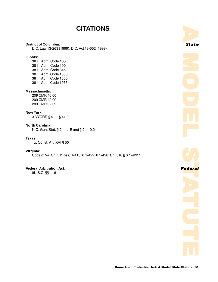## **CITATIONS**

#### <span id="page-30-0"></span>**District of Columbia:**

D.C. Law 13-263 (1999); D.C. Act 13-552 (1999)

## **Illinois:**

38 Ill. Adm. Code 160 38 Ill. Adm. Code 190 38 Ill. Adm. Code 345 38 Ill. Adm. Code 1000 38 Ill. Adm. Code 1050 38 Ill. Adm. Code 1075

#### **Massachusetts:**

209 CMR 40.00 209 CMR 42.00 209 CMR 32.32

### **New York:**

3 NYCRR § 41.1-§ 41.9

#### **North Carolina:**

N.C. Gen. Stat. § 24-1.1E and § 24-10.2

## **Texas:**

Tx. Const. Art. XVI § 50

## **Virginia:**

Code of Va. Ch. 511 §s 6.1-413, 6.1-422, 6.1-428; Ch. 510 § 6.1-422.1

## **Federal Arbitration Act:** *!*

9U.S.C. §§1-16